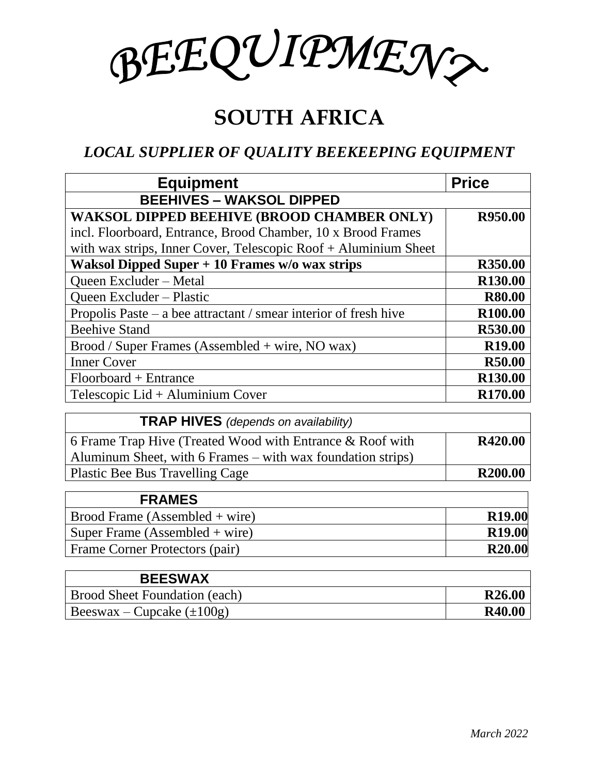BEEQUIPMEN?

## **SOUTH AFRICA**

## *LOCAL SUPPLIER OF QUALITY BEEKEEPING EQUIPMENT*

| <b>Equipment</b>                                                 | <b>Price</b>        |
|------------------------------------------------------------------|---------------------|
| <b>BEEHIVES - WAKSOL DIPPED</b>                                  |                     |
| <b>WAKSOL DIPPED BEEHIVE (BROOD CHAMBER ONLY)</b>                | R950.00             |
| incl. Floorboard, Entrance, Brood Chamber, 10 x Brood Frames     |                     |
| with wax strips, Inner Cover, Telescopic Roof + Aluminium Sheet  |                     |
| Waksol Dipped Super $+10$ Frames w/o wax strips                  | R350.00             |
| Queen Excluder - Metal                                           | R <sub>130.00</sub> |
| <b>Oueen Excluder – Plastic</b>                                  | <b>R80.00</b>       |
| Propolis Paste – a bee attractant / smear interior of fresh hive | R <sub>100.00</sub> |
| <b>Beehive Stand</b>                                             | R530.00             |
| Brood / Super Frames (Assembled + wire, NO wax)                  | R <sub>19.00</sub>  |
| <b>Inner Cover</b>                                               | <b>R50.00</b>       |
| $Floor$ + Entrance                                               | R <sub>130.00</sub> |
| Telescopic Lid + Aluminium Cover                                 | R <sub>170.00</sub> |

| <b>TRAP HIVES</b> (depends on availability)                 |                     |
|-------------------------------------------------------------|---------------------|
| 6 Frame Trap Hive (Treated Wood with Entrance & Roof with   | <b>R420.00</b>      |
| Aluminum Sheet, with 6 Frames – with wax foundation strips) |                     |
| Plastic Bee Bus Travelling Cage                             | R <sub>200.00</sub> |

| <b>FRAMES</b>                           |               |
|-----------------------------------------|---------------|
| $\text{Proof}$ Frame (Assembled + wire) | <b>R19.00</b> |
| Super Frame (Assembled + wire)          | <b>R19.00</b> |
| <b>Frame Corner Protectors (pair)</b>   | <b>R20.00</b> |

| <b>BEESWAX</b>                 |                    |
|--------------------------------|--------------------|
| Brood Sheet Foundation (each)  | R <sub>26.00</sub> |
| Beeswax – Cupcake $(\pm 100g)$ | <b>R40.00</b>      |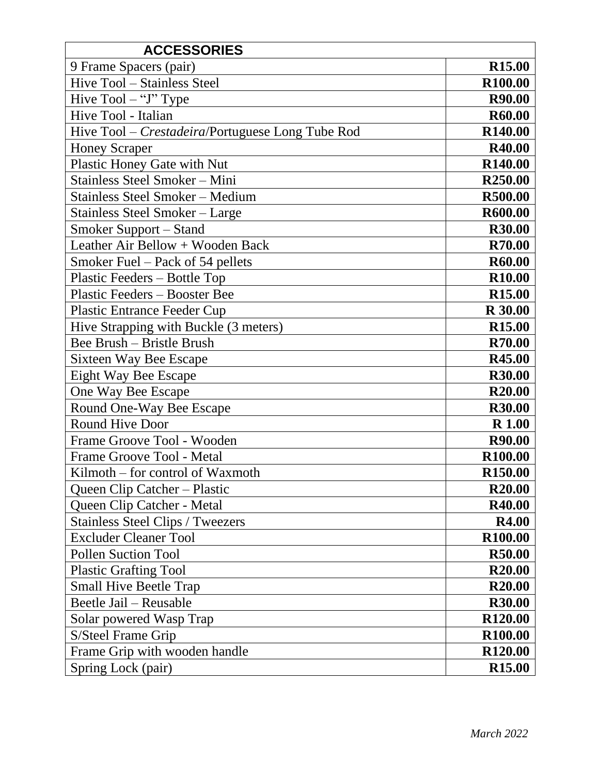| <b>ACCESSORIES</b>                               |                     |
|--------------------------------------------------|---------------------|
| 9 Frame Spacers (pair)                           | <b>R15.00</b>       |
| Hive Tool - Stainless Steel                      | R100.00             |
| Hive $Tool - "J" Type$                           | R90.00              |
| Hive Tool - Italian                              | R60.00              |
| Hive Tool – Crestadeira/Portuguese Long Tube Rod | R <sub>140.00</sub> |
| <b>Honey Scraper</b>                             | R40.00              |
| Plastic Honey Gate with Nut                      | R <sub>140.00</sub> |
| Stainless Steel Smoker - Mini                    | R <sub>250.00</sub> |
| <b>Stainless Steel Smoker - Medium</b>           | R500.00             |
| Stainless Steel Smoker – Large                   | R600.00             |
| <b>Smoker Support – Stand</b>                    | <b>R30.00</b>       |
| Leather Air Bellow + Wooden Back                 | R70.00              |
| Smoker Fuel – Pack of 54 pellets                 | R60.00              |
| Plastic Feeders – Bottle Top                     | R <sub>10.00</sub>  |
| Plastic Feeders – Booster Bee                    | <b>R15.00</b>       |
| <b>Plastic Entrance Feeder Cup</b>               | <b>R</b> 30.00      |
| Hive Strapping with Buckle (3 meters)            | R <sub>15.00</sub>  |
| Bee Brush - Bristle Brush                        | R70.00              |
| <b>Sixteen Way Bee Escape</b>                    | R45.00              |
| <b>Eight Way Bee Escape</b>                      | R30.00              |
| One Way Bee Escape                               | R <sub>20.00</sub>  |
| Round One-Way Bee Escape                         | <b>R30.00</b>       |
| <b>Round Hive Door</b>                           | <b>R</b> 1.00       |
| Frame Groove Tool - Wooden                       | R90.00              |
| Frame Groove Tool - Metal                        | R <sub>100.00</sub> |
| Kilmoth – for control of Waxmoth                 | R <sub>150.00</sub> |
| Queen Clip Catcher - Plastic                     | R <sub>20.00</sub>  |
| Queen Clip Catcher - Metal                       | R40.00              |
| <b>Stainless Steel Clips / Tweezers</b>          | <b>R4.00</b>        |
| <b>Excluder Cleaner Tool</b>                     | R <sub>100.00</sub> |
| <b>Pollen Suction Tool</b>                       | R50.00              |
| <b>Plastic Grafting Tool</b>                     | R <sub>20.00</sub>  |
| <b>Small Hive Beetle Trap</b>                    | R <sub>20.00</sub>  |
| Beetle Jail - Reusable                           | R30.00              |
| Solar powered Wasp Trap                          | R <sub>120.00</sub> |
| S/Steel Frame Grip                               | R <sub>100.00</sub> |
| Frame Grip with wooden handle                    | R <sub>120.00</sub> |
| Spring Lock (pair)                               | R <sub>15.00</sub>  |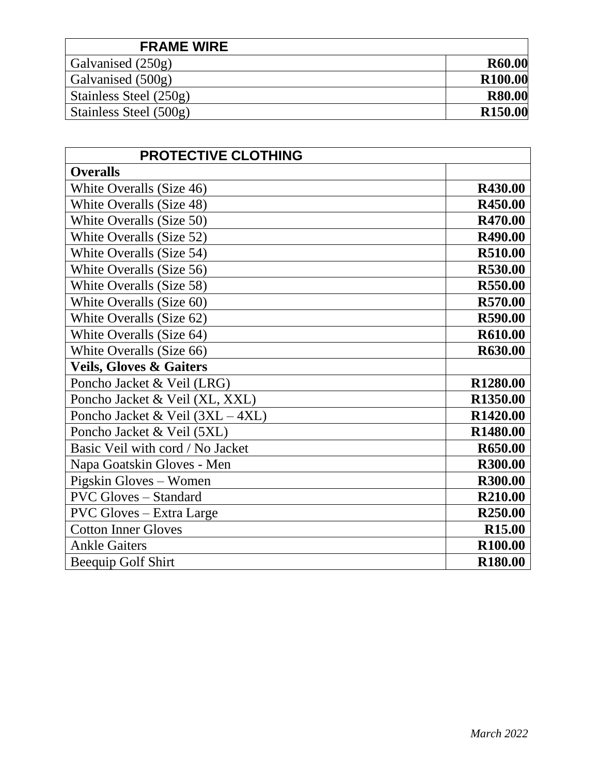| <b>FRAME WIRE</b>      |                     |
|------------------------|---------------------|
| Galvanised (250g)      | R60.00              |
| Galvanised (500g)      | R <sub>100.00</sub> |
| Stainless Steel (250g) | <b>R80.00</b>       |
| Stainless Steel (500g) | R <sub>150.00</sub> |

| <b>PROTECTIVE CLOTHING</b>         |                      |
|------------------------------------|----------------------|
| <b>Overalls</b>                    |                      |
| White Overalls (Size 46)           | R430.00              |
| White Overalls (Size 48)           | R450.00              |
| White Overalls (Size 50)           | R470.00              |
| White Overalls (Size 52)           | R490.00              |
| White Overalls (Size 54)           | R510.00              |
| White Overalls (Size 56)           | R530.00              |
| White Overalls (Size 58)           | R550.00              |
| White Overalls (Size 60)           | R570.00              |
| White Overalls (Size 62)           | R590.00              |
| White Overalls (Size 64)           | R610.00              |
| White Overalls (Size 66)           | R630.00              |
| <b>Veils, Gloves &amp; Gaiters</b> |                      |
| Poncho Jacket & Veil (LRG)         | R1280.00             |
| Poncho Jacket & Veil (XL, XXL)     | R <sub>1350.00</sub> |
| Poncho Jacket & Veil (3XL - 4XL)   | R1420.00             |
| Poncho Jacket & Veil (5XL)         | R1480.00             |
| Basic Veil with cord / No Jacket   | R650.00              |
| Napa Goatskin Gloves - Men         | <b>R300.00</b>       |
| Pigskin Gloves – Women             | <b>R300.00</b>       |
| <b>PVC Gloves - Standard</b>       | R210.00              |
| <b>PVC Gloves – Extra Large</b>    | R <sub>250.00</sub>  |
| <b>Cotton Inner Gloves</b>         | <b>R15.00</b>        |
| <b>Ankle Gaiters</b>               | R <sub>100.00</sub>  |
| <b>Beequip Golf Shirt</b>          | R <sub>180.00</sub>  |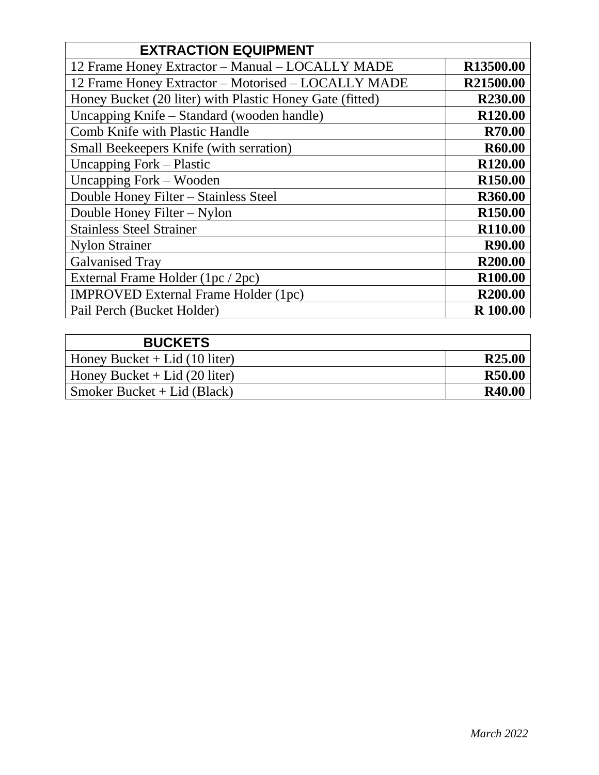| <b>EXTRACTION EQUIPMENT</b>                              |                     |
|----------------------------------------------------------|---------------------|
| 12 Frame Honey Extractor - Manual - LOCALLY MADE         | R13500.00           |
| 12 Frame Honey Extractor - Motorised - LOCALLY MADE      | R21500.00           |
| Honey Bucket (20 liter) with Plastic Honey Gate (fitted) | R <sub>230.00</sub> |
| Uncapping Knife - Standard (wooden handle)               | R <sub>120.00</sub> |
| <b>Comb Knife with Plastic Handle</b>                    | <b>R70.00</b>       |
| Small Beekeepers Knife (with serration)                  | R60.00              |
| Uncapping Fork – Plastic                                 | R <sub>120.00</sub> |
| Uncapping Fork – Wooden                                  | R <sub>150.00</sub> |
| Double Honey Filter - Stainless Steel                    | R360.00             |
| Double Honey Filter – Nylon                              | R <sub>150.00</sub> |
| <b>Stainless Steel Strainer</b>                          | R110.00             |
| <b>Nylon Strainer</b>                                    | <b>R90.00</b>       |
| <b>Galvanised Tray</b>                                   | R <sub>200.00</sub> |
| External Frame Holder (1pc / 2pc)                        | R <sub>100.00</sub> |
| <b>IMPROVED External Frame Holder (1pc)</b>              | R <sub>200.00</sub> |
| Pail Perch (Bucket Holder)                               | R 100.00            |

| <b>BUCKETS</b>                  |                    |
|---------------------------------|--------------------|
| Honey Bucket + Lid $(10$ liter) | R <sub>25.00</sub> |
| Honey Bucket $+$ Lid (20 liter) | <b>R50.00</b>      |
| Smoker Bucket + Lid (Black)     | R40.00             |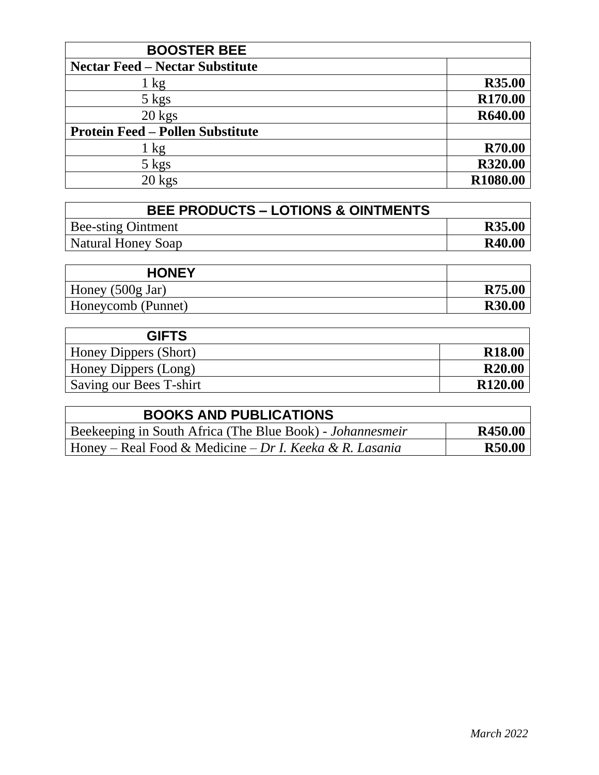| <b>BOOSTER BEE</b>                      |                     |
|-----------------------------------------|---------------------|
| <b>Nectar Feed – Nectar Substitute</b>  |                     |
| 1 kg                                    | <b>R35.00</b>       |
| $5 \text{ kgs}$                         | R <sub>170.00</sub> |
| $20$ kgs                                | R640.00             |
| <b>Protein Feed - Pollen Substitute</b> |                     |
| 1 kg                                    | <b>R70.00</b>       |
| $5 \text{ kgs}$                         | R320.00             |
| $20$ kgs                                | R1080.00            |

| <b>BEE PRODUCTS - LOTIONS &amp; OINTMENTS</b> |               |
|-----------------------------------------------|---------------|
| Bee-sting Ointment                            | R35.00        |
| Natural Honey Soap                            | <b>R40.00</b> |

| <b>HONEY</b>               |               |
|----------------------------|---------------|
| Honey $(500g \text{ Jar})$ | <b>R75.00</b> |
| Honeycomb (Punnet)         | <b>R30.00</b> |

| <b>GIFTS</b>            |                     |
|-------------------------|---------------------|
| Honey Dippers (Short)   | <b>R18.00</b>       |
| Honey Dippers (Long)    | <b>R20.00</b>       |
| Saving our Bees T-shirt | R <sub>120.00</sub> |

| <b>BOOKS AND PUBLICATIONS</b>                             |               |
|-----------------------------------------------------------|---------------|
| Beekeeping in South Africa (The Blue Book) - Johannesmeir | R450.00       |
| Honey – Real Food & Medicine – Dr I. Keeka & R. Lasania   | <b>R50.00</b> |